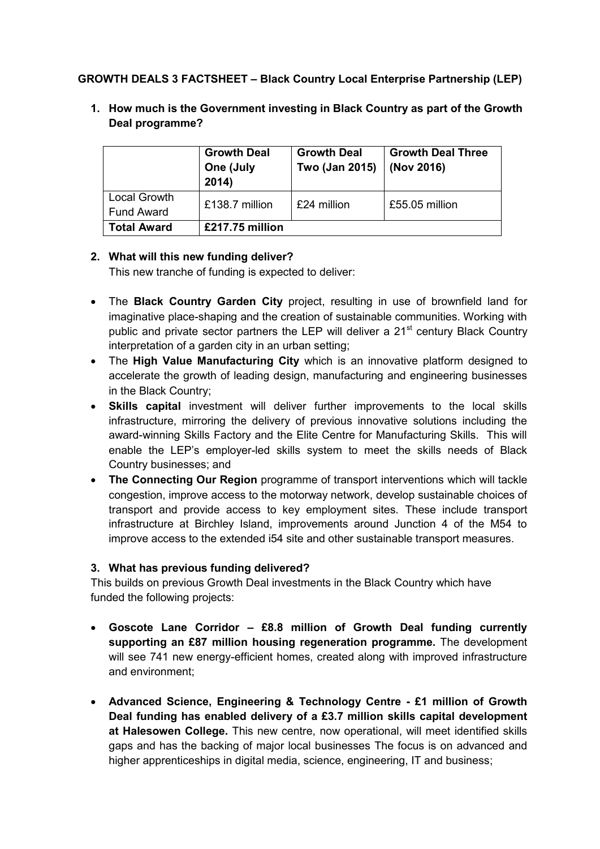# **GROWTH DEALS 3 FACTSHEET – Black Country Local Enterprise Partnership (LEP)**

|                                   | <b>Growth Deal</b><br>One (July<br>2014) | <b>Growth Deal</b><br>Two (Jan 2015) | <b>Growth Deal Three</b><br>(Nov 2016) |
|-----------------------------------|------------------------------------------|--------------------------------------|----------------------------------------|
| Local Growth<br><b>Fund Award</b> | £138.7 million                           | £24 million                          | £55.05 million                         |
| <b>Total Award</b>                | £217.75 million                          |                                      |                                        |

**1. How much is the Government investing in Black Country as part of the Growth Deal programme?** 

## **2. What will this new funding deliver?**

This new tranche of funding is expected to deliver:

- The **Black Country Garden City** project, resulting in use of brownfield land for imaginative place-shaping and the creation of sustainable communities. Working with public and private sector partners the LEP will deliver a  $21<sup>st</sup>$  century Black Country interpretation of a garden city in an urban setting;
- The **High Value Manufacturing City** which is an innovative platform designed to accelerate the growth of leading design, manufacturing and engineering businesses in the Black Country;
- **Skills capital** investment will deliver further improvements to the local skills infrastructure, mirroring the delivery of previous innovative solutions including the award-winning Skills Factory and the Elite Centre for Manufacturing Skills. This will enable the LEP's employer-led skills system to meet the skills needs of Black Country businesses; and
- **The Connecting Our Region** programme of transport interventions which will tackle congestion, improve access to the motorway network, develop sustainable choices of transport and provide access to key employment sites. These include transport infrastructure at Birchley Island, improvements around Junction 4 of the M54 to improve access to the extended i54 site and other sustainable transport measures.

#### **3. What has previous funding delivered?**

This builds on previous Growth Deal investments in the Black Country which have funded the following projects:

- **Goscote Lane Corridor – £8.8 million of Growth Deal funding currently supporting an £87 million housing regeneration programme.** The development will see 741 new energy-efficient homes, created along with improved infrastructure and environment;
- **Advanced Science, Engineering & Technology Centre - £1 million of Growth Deal funding has enabled delivery of a £3.7 million skills capital development at Halesowen College.** This new centre, now operational, will meet identified skills gaps and has the backing of major local businesses The focus is on advanced and higher apprenticeships in digital media, science, engineering, IT and business;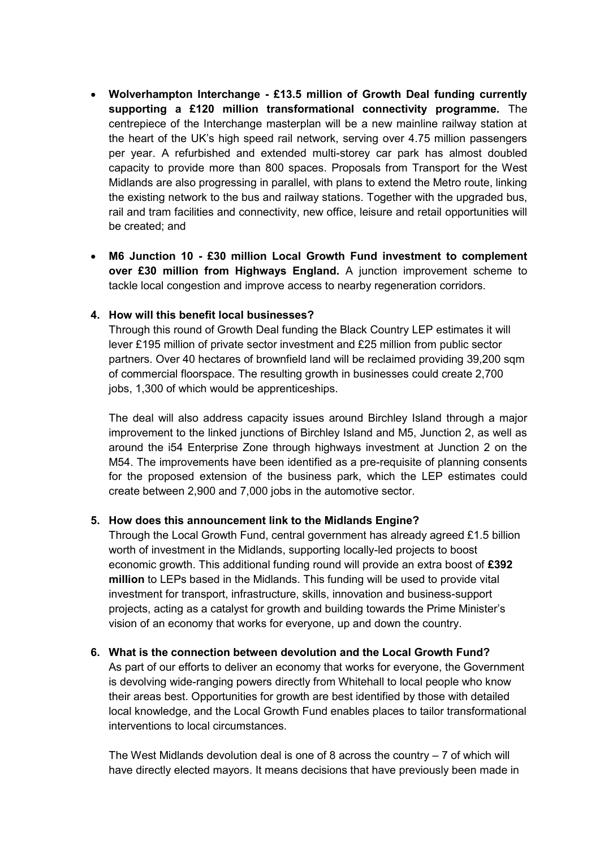- **Wolverhampton Interchange - £13.5 million of Growth Deal funding currently supporting a £120 million transformational connectivity programme.** The centrepiece of the Interchange masterplan will be a new mainline railway station at the heart of the UK's high speed rail network, serving over 4.75 million passengers per year. A refurbished and extended multi-storey car park has almost doubled capacity to provide more than 800 spaces. Proposals from Transport for the West Midlands are also progressing in parallel, with plans to extend the Metro route, linking the existing network to the bus and railway stations. Together with the upgraded bus, rail and tram facilities and connectivity, new office, leisure and retail opportunities will be created; and
- **M6 Junction 10 - £30 million Local Growth Fund investment to complement over £30 million from Highways England.** A junction improvement scheme to tackle local congestion and improve access to nearby regeneration corridors.

## **4. How will this benefit local businesses?**

Through this round of Growth Deal funding the Black Country LEP estimates it will lever £195 million of private sector investment and £25 million from public sector partners. Over 40 hectares of brownfield land will be reclaimed providing 39,200 sqm of commercial floorspace. The resulting growth in businesses could create 2,700 jobs, 1,300 of which would be apprenticeships.

The deal will also address capacity issues around Birchley Island through a major improvement to the linked junctions of Birchley Island and M5, Junction 2, as well as around the i54 Enterprise Zone through highways investment at Junction 2 on the M54. The improvements have been identified as a pre-requisite of planning consents for the proposed extension of the business park, which the LEP estimates could create between 2,900 and 7,000 jobs in the automotive sector.

#### **5. How does this announcement link to the Midlands Engine?**

Through the Local Growth Fund, central government has already agreed £1.5 billion worth of investment in the Midlands, supporting locally-led projects to boost economic growth. This additional funding round will provide an extra boost of **£392 million** to LEPs based in the Midlands. This funding will be used to provide vital investment for transport, infrastructure, skills, innovation and business-support projects, acting as a catalyst for growth and building towards the Prime Minister's vision of an economy that works for everyone, up and down the country.

#### **6. What is the connection between devolution and the Local Growth Fund?**

As part of our efforts to deliver an economy that works for everyone, the Government is devolving wide-ranging powers directly from Whitehall to local people who know their areas best. Opportunities for growth are best identified by those with detailed local knowledge, and the Local Growth Fund enables places to tailor transformational interventions to local circumstances.

The West Midlands devolution deal is one of 8 across the country  $-7$  of which will have directly elected mayors. It means decisions that have previously been made in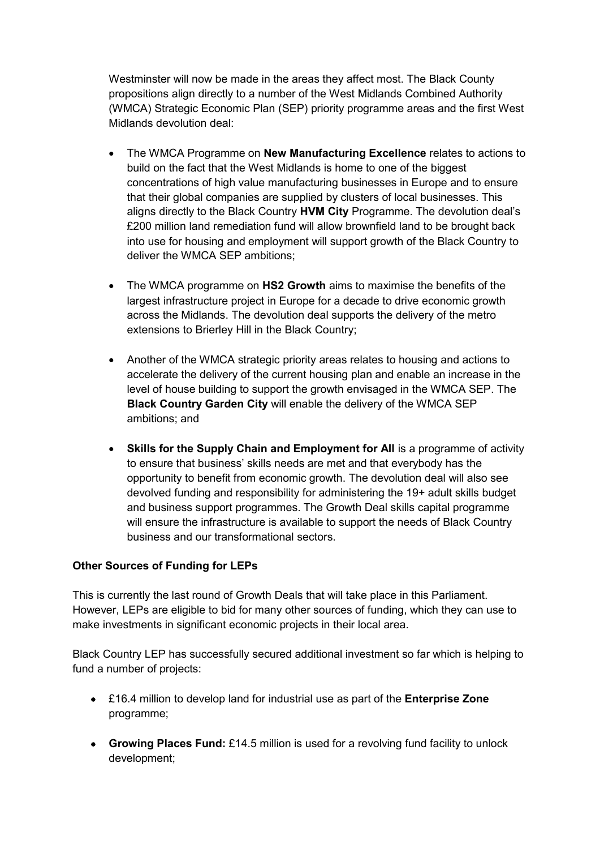Westminster will now be made in the areas they affect most. The Black County propositions align directly to a number of the West Midlands Combined Authority (WMCA) Strategic Economic Plan (SEP) priority programme areas and the first West Midlands devolution deal:

- The WMCA Programme on **New Manufacturing Excellence** relates to actions to build on the fact that the West Midlands is home to one of the biggest concentrations of high value manufacturing businesses in Europe and to ensure that their global companies are supplied by clusters of local businesses. This aligns directly to the Black Country **HVM City** Programme. The devolution deal's £200 million land remediation fund will allow brownfield land to be brought back into use for housing and employment will support growth of the Black Country to deliver the WMCA SEP ambitions;
- The WMCA programme on **HS2 Growth** aims to maximise the benefits of the largest infrastructure project in Europe for a decade to drive economic growth across the Midlands. The devolution deal supports the delivery of the metro extensions to Brierley Hill in the Black Country;
- Another of the WMCA strategic priority areas relates to housing and actions to accelerate the delivery of the current housing plan and enable an increase in the level of house building to support the growth envisaged in the WMCA SEP. The **Black Country Garden City** will enable the delivery of the WMCA SEP ambitions; and
- **Skills for the Supply Chain and Employment for All** is a programme of activity to ensure that business' skills needs are met and that everybody has the opportunity to benefit from economic growth. The devolution deal will also see devolved funding and responsibility for administering the 19+ adult skills budget and business support programmes. The Growth Deal skills capital programme will ensure the infrastructure is available to support the needs of Black Country business and our transformational sectors.

#### **Other Sources of Funding for LEPs**

This is currently the last round of Growth Deals that will take place in this Parliament. However, LEPs are eligible to bid for many other sources of funding, which they can use to make investments in significant economic projects in their local area.

Black Country LEP has successfully secured additional investment so far which is helping to fund a number of projects:

- £16.4 million to develop land for industrial use as part of the **Enterprise Zone** programme;
- **Growing Places Fund:** £14.5 million is used for a revolving fund facility to unlock development;